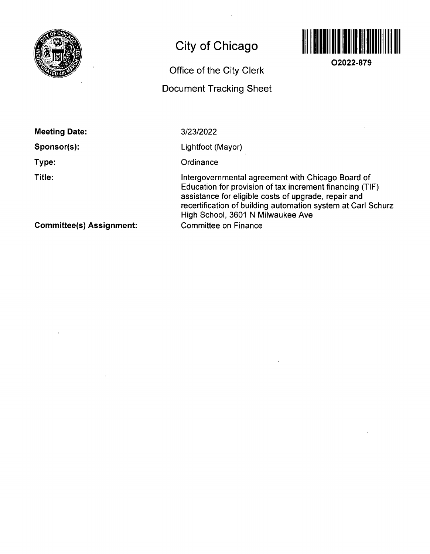

# **City of Chicago**

# **Office of the City Clerk**

## **Document Tracking Sheet**



**02022-879** 

**Meeting Date:** 

**Sponsor(s):** 

**Type:** 

**Title:** 

3/23/2022

Lightfoot (Mayor)

**Ordinance** 

Intergovernmental agreemenf with Chicago Board of Education for provision of fax increment financing (TIF) assistance for eligible costs of upgrade, repair and recertification of building automation system at Carl Schurz High School, 3601 N Milwaukee Ave Committee on Finance

**Committee(s) Assignment:**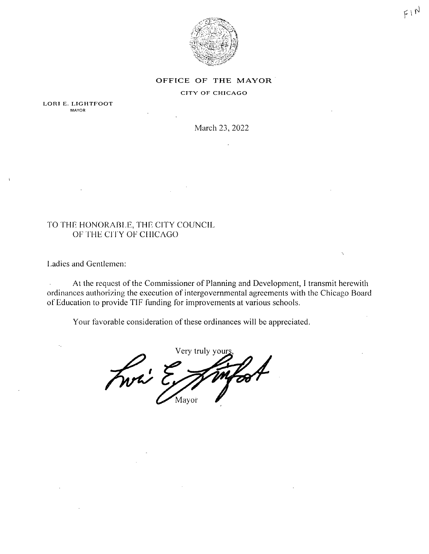

 $F1N$ 

#### OFFICE OF THE MAYOR

#### CITY OF CHICAGO

LORI E. LIGHTFOOT **MAYOR** 

March 23, 2022

### TO THE HONORABLE, THE CITY COUNCIL OF THE CITY OF CHICAGO

Ladies and Gentlemen:

At the request of the Commissioner of Planning and Development, I transmit herewith ordinances authorizing the execution of intergovernmental agreements with the Chicago Board of Education to provide TIF funding for improvements at various schools.

Your favorable consideration of these ordinances will be appreciated.

Very truly your Fwri ? Mayor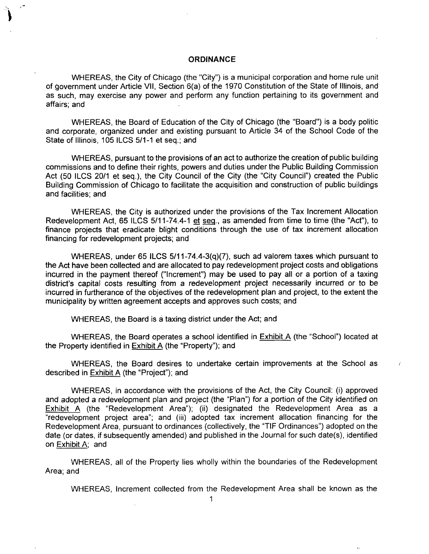#### **ORDINANCE**

WHEREAS, the City of Chicago (the "City") is a municipal corporation and home rule unit of government under Article VII, Section 6(a) of the 1970 Constitution of the State of Illinois, and as such, may exercise any power and perform any function pertaining to its government and affairs; and

WHEREAS, the Board of Education of the City of Chicago (the "Board") is a body politic and corporate, organized under and existing pursuant to Article 34 of the School Code of the State of Illinois, 105 ILCS 5/1-1 et seq.; and

WHEREAS, pursuant to the provisions of an act to authorize the creation of public building commissions and to define their rights, powers and duties under the Public Building Commission Act (50 ILCS 20/1 et seq.), the City Council of the City (the "City Council") created the Public Building Commission of Chicago to facilitate the acquisition and construction of public buildings and facilities; and

WHEREAS, the City is authorized under the provisions of the Tax Increment Allocation Redevelopment Act, 65 ILCS 5/11-74.4-1 et seg., as amended from time to time (the "Act"), to finance projects that eradicate blight conditions through the use of tax increment allocation financing for redevelopment projects; and

WHEREAS, under 65 ILCS 5/11-74.4-3(q)(7), such ad valorem taxes which pursuant fo the Act have been collected and are allocated to pay redevelopment project costs and obligations incurred in fhe payment thereof ("Increment") may be used to pay all or a portion of a taxing district's capital costs resulting from a redevelopment project necessarily incurred or to be incurred in furtherance of the objectives of the redevelopment plan and project, to the extent the municipality by written agreement accepts and approves such costs; and

WHEREAS, the Board is a taxing district under the Act; and

WHEREAS, the Board operates a school identified in Exhibit A (the "School") located at the Property identified in Exhibit A (the "Property"); and

WHEREAS, the Board desires to undertake certain improvements at the School as described in Exhibit A (the "Project"); and

WHEREAS, in accordance with the provisions of the Act, the City Council: (i) approved and adopted a redevelopment plan and project (the "Plan") for a portion of the City identified on Exhibit A (the "Redevelopment Area"); (ii) designated the Redevelopment Area as a "redevelopment project area"; and (iii) adopted tax increment allocation financing for the Redevelopment Area, pursuant to ordinances (collectively, the "TIF Ordinances") adopted on the date (or dates, if subsequently amended) and published in the Journal for such date(s), identified on Exhibit A; and

WHEREAS, all of the Property lies wholly within the boundaries of the Redevelopment Area; and

WHEREAS, Increment collected from the Redevelopment Area shall be known as the

Ł.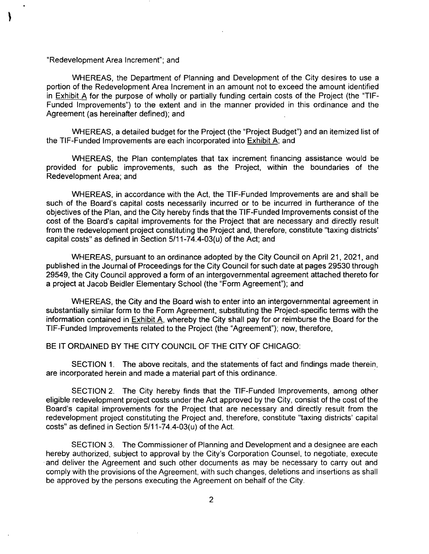#### "Redevelopment Area Increment"; and

WHEREAS, the Department of Planning and Development of the City desires to use a portion of the Redevelopment Area Increment in an amount not to exceed the amount identified in Exhibit A for the purpose of wholly or partially funding certain costs of the Project (the "TIF-Funded Improvements") to the extent and in the manner provided in this ordinance and the Agreement (as hereinafter defined); and

WHEREAS, a detailed budget for the Project (the "Project Budget") and an itemized list of the TIF-Funded Improvements are each incorporated into  $Exhibit A$ ; and

WHEREAS, the Plan contemplates that tax increment financing assistance would be provided for public improvements, such as the Project, within the boundaries of the Redevelopment Area; and

WHEREAS, in accordance with the Act, the TIF-Funded Improvements are and shall be such of the Board's capital costs necessarily incurred or to be incurred in furtherance of the objectives of the Plan, and the City hereby finds that the TIF-Funded Improvements consist of the cost of the Board's capital improvements for the Project that are necessary and directly result from the redevelopment project constituting the Project and, therefore, constitute "taxing districts' capital costs" as defined in Section  $5/11-74.4-03(u)$  of the Act; and

WHEREAS, pursuant to an ordinance adopted by the City Council on April 21, 2021, and published in the Journal of Proceedings for the City Council for such date at pages 29530 through 29549, the City Council approved a form of an intergovernmental agreement attached thereto for a project at Jacob Beidler Elementary School (the "Form Agreement"); and

WHEREAS, the City and the Board wish to enter into an intergovernmental agreement in substantially similar form to the Form Agreement, substituting the Project-specific terms with the information contained in Exhibit A. whereby the City shall pay for or reimburse the Board for the TIF-Funded Improvements related to the Project (the "Agreement"); now, therefore,

#### BE IT ORDAINED BY THE CITY COUNCIL OF THE CITY OF CHICAGO:

SECTION 1. The above recitals, and the statements of fact and findings made therein, are incorporated herein and made a material part of this ordinance.

SECTION 2. The City hereby finds that the TIF-Funded Improvements, among other eligible redevelopment project costs under the Act approved by the City, consist of the cost of the Board's capital improvements for the Project that are necessary and directly result from the redevelopment project constituting the Project and, therefore, constitute "taxing districts' capital costs" as defined in Section 5/11-74,4-03(u) of the Act.

SECTION 3. The Commissioner of Planning and Development and a designee are each hereby authorized, subject to approval by the City's Corporation Counsel, to negotiate, execute and deliver the Agreement and such other documents as may be necessary to carry out and comply with the provisions of the Agreement, with such changes, deletions and insertions as shall be approved by the persons executing the Agreement on behalf of the City.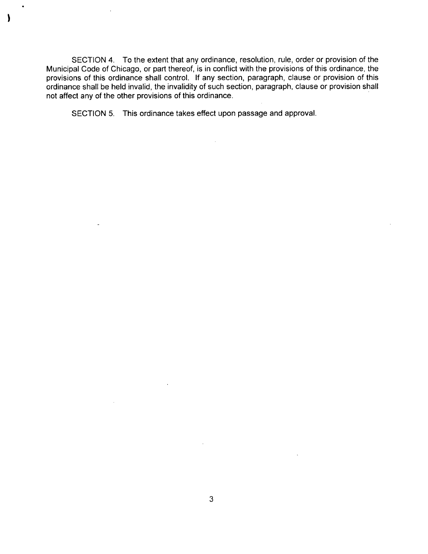SECTION 4. To the extent that any ordinance, resolution, rule, order or provision of the Municipal Code of Chicago, or part thereof, is in conflict with the provisions ofthis ordinance, the provisions of this ordinance shall control. If any section, paragraph, clause or provision of this ordinance shall be held invalid, the invalidity of such section, paragraph, clause or provision shall not affect any of the other provisions of this ordinance.

 $\mathcal{L}^{\mathcal{L}}$ 

SECTION 5. This ordinance takes effect upon passage and approval.

 $\mathbf \lambda$ 

 $\mathcal{L}_{\mathcal{A}}$